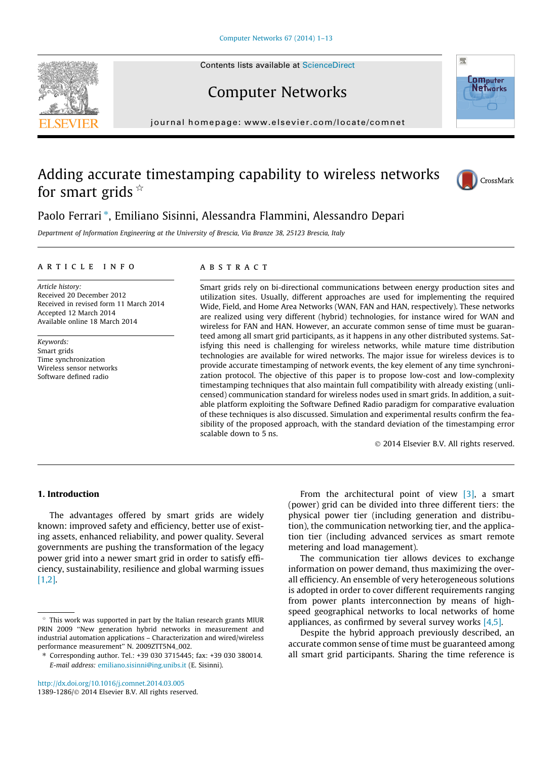Contents lists available at [ScienceDirect](http://www.sciencedirect.com/science/journal/13891286)





# Computer Networks

journal homepage: [www.elsevier.com/locate/comnet](http://www.elsevier.com/locate/comnet)

## Adding accurate timestamping capability to wireless networks for smart grids  $*$



### Paolo Ferrari \*, Emiliano Sisinni, Alessandra Flammini, Alessandro Depari

Department of Information Engineering at the University of Brescia, Via Branze 38, 25123 Brescia, Italy

#### article info

Article history: Received 20 December 2012 Received in revised form 11 March 2014 Accepted 12 March 2014 Available online 18 March 2014

Keywords: Smart grids Time synchronization Wireless sensor networks Software defined radio

#### **ARSTRACT**

Smart grids rely on bi-directional communications between energy production sites and utilization sites. Usually, different approaches are used for implementing the required Wide, Field, and Home Area Networks (WAN, FAN and HAN, respectively). These networks are realized using very different (hybrid) technologies, for instance wired for WAN and wireless for FAN and HAN. However, an accurate common sense of time must be guaranteed among all smart grid participants, as it happens in any other distributed systems. Satisfying this need is challenging for wireless networks, while mature time distribution technologies are available for wired networks. The major issue for wireless devices is to provide accurate timestamping of network events, the key element of any time synchronization protocol. The objective of this paper is to propose low-cost and low-complexity timestamping techniques that also maintain full compatibility with already existing (unlicensed) communication standard for wireless nodes used in smart grids. In addition, a suitable platform exploiting the Software Defined Radio paradigm for comparative evaluation of these techniques is also discussed. Simulation and experimental results confirm the feasibility of the proposed approach, with the standard deviation of the timestamping error scalable down to 5 ns.

- 2014 Elsevier B.V. All rights reserved.

#### 1. Introduction

The advantages offered by smart grids are widely known: improved safety and efficiency, better use of existing assets, enhanced reliability, and power quality. Several governments are pushing the transformation of the legacy power grid into a newer smart grid in order to satisfy efficiency, sustainability, resilience and global warming issues [\[1,2\]](#page--1-0).

<http://dx.doi.org/10.1016/j.comnet.2014.03.005>

1389-1286/© 2014 Elsevier B.V. All rights reserved.

From the architectural point of view  $[3]$ , a smart (power) grid can be divided into three different tiers: the physical power tier (including generation and distribution), the communication networking tier, and the application tier (including advanced services as smart remote metering and load management).

The communication tier allows devices to exchange information on power demand, thus maximizing the overall efficiency. An ensemble of very heterogeneous solutions is adopted in order to cover different requirements ranging from power plants interconnection by means of highspeed geographical networks to local networks of home appliances, as confirmed by several survey works [\[4,5\]](#page--1-0).

Despite the hybrid approach previously described, an accurate common sense of time must be guaranteed among all smart grid participants. Sharing the time reference is

 $*$  This work was supported in part by the Italian research grants MIUR PRIN 2009 ''New generation hybrid networks in measurement and industrial automation applications – Characterization and wired/wireless performance measurement'' N. 2009ZTT5N4\_002.

<sup>⇑</sup> Corresponding author. Tel.: +39 030 3715445; fax: +39 030 380014. E-mail address: [emiliano.sisinni@ing.unibs.it](mailto:emiliano.sisinni@ing.unibs.it) (E. Sisinni).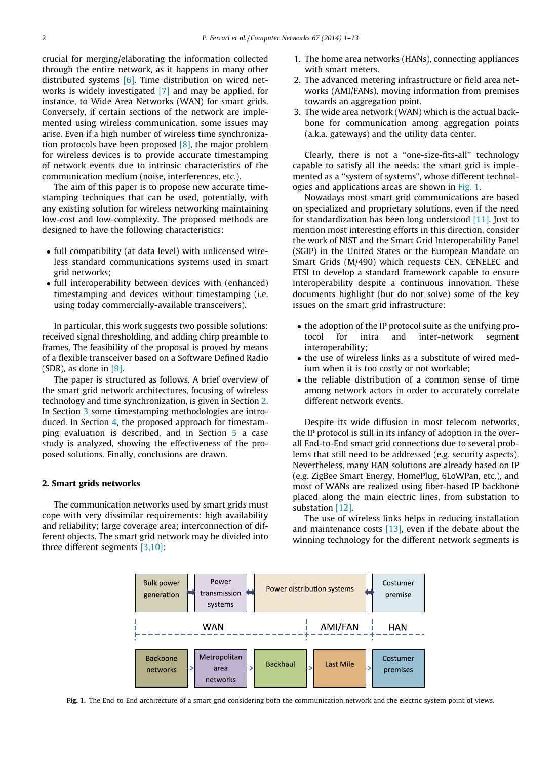crucial for merging/elaborating the information collected through the entire network, as it happens in many other distributed systems  $[6]$ . Time distribution on wired networks is widely investigated [\[7\]](#page--1-0) and may be applied, for instance, to Wide Area Networks (WAN) for smart grids. Conversely, if certain sections of the network are implemented using wireless communication, some issues may arise. Even if a high number of wireless time synchronization protocols have been proposed  $[8]$ , the major problem for wireless devices is to provide accurate timestamping of network events due to intrinsic characteristics of the communication medium (noise, interferences, etc.).

The aim of this paper is to propose new accurate timestamping techniques that can be used, potentially, with any existing solution for wireless networking maintaining low-cost and low-complexity. The proposed methods are designed to have the following characteristics:

- full compatibility (at data level) with unlicensed wireless standard communications systems used in smart grid networks;
- full interoperability between devices with (enhanced) timestamping and devices without timestamping (i.e. using today commercially-available transceivers).

In particular, this work suggests two possible solutions: received signal thresholding, and adding chirp preamble to frames. The feasibility of the proposal is proved by means of a flexible transceiver based on a Software Defined Radio  $(SDR)$ , as done in  $[9]$ .

The paper is structured as follows. A brief overview of the smart grid network architectures, focusing of wireless technology and time synchronization, is given in Section 2. In Section [3](#page--1-0) some timestamping methodologies are introduced. In Section [4](#page--1-0), the proposed approach for timestamping evaluation is described, and in Section [5](#page--1-0) a case study is analyzed, showing the effectiveness of the proposed solutions. Finally, conclusions are drawn.

#### 2. Smart grids networks

The communication networks used by smart grids must cope with very dissimilar requirements: high availability and reliability; large coverage area; interconnection of different objects. The smart grid network may be divided into three different segments [\[3,10\]](#page--1-0):

- 1. The home area networks (HANs), connecting appliances with smart meters.
- 2. The advanced metering infrastructure or field area networks (AMI/FANs), moving information from premises towards an aggregation point.
- 3. The wide area network (WAN) which is the actual backbone for communication among aggregation points (a.k.a. gateways) and the utility data center.

Clearly, there is not a ''one-size-fits-all'' technology capable to satisfy all the needs: the smart grid is implemented as a ''system of systems'', whose different technologies and applications areas are shown in Fig. 1.

Nowadays most smart grid communications are based on specialized and proprietary solutions, even if the need for standardization has been long understood [\[11\]](#page--1-0). Just to mention most interesting efforts in this direction, consider the work of NIST and the Smart Grid Interoperability Panel (SGIP) in the United States or the European Mandate on Smart Grids (M/490) which requests CEN, CENELEC and ETSI to develop a standard framework capable to ensure interoperability despite a continuous innovation. These documents highlight (but do not solve) some of the key issues on the smart grid infrastructure:

- the adoption of the IP protocol suite as the unifying protocol for intra and inter-network segment interoperability;
- the use of wireless links as a substitute of wired medium when it is too costly or not workable;
- the reliable distribution of a common sense of time among network actors in order to accurately correlate different network events.

Despite its wide diffusion in most telecom networks, the IP protocol is still in its infancy of adoption in the overall End-to-End smart grid connections due to several problems that still need to be addressed (e.g. security aspects). Nevertheless, many HAN solutions are already based on IP (e.g. ZigBee Smart Energy, HomePlug, 6LoWPan, etc.), and most of WANs are realized using fiber-based IP backbone placed along the main electric lines, from substation to substation [\[12\].](#page--1-0)

The use of wireless links helps in reducing installation and maintenance costs  $[13]$ , even if the debate about the winning technology for the different network segments is



Fig. 1. The End-to-End architecture of a smart grid considering both the communication network and the electric system point of views.